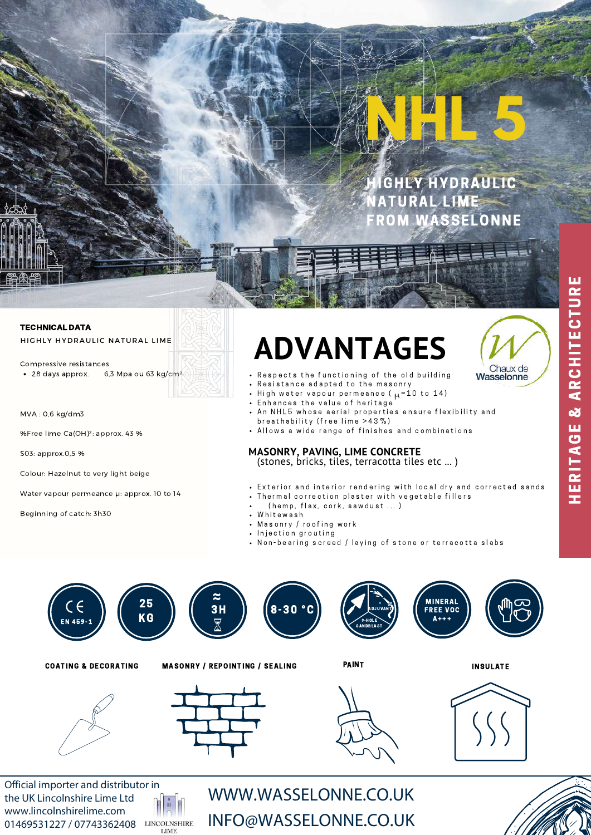# **NHL 5**

**IGHLY HYDRAULIC ATURAL LIME** FROM WASSELONNE

## TECHNICAL DATA HIGHLY HYDRAULIC NATURAL LIME

• 28 days approx. 6,3 Mpa ou 63 kg/cm<sup>2</sup> Compressive resistances

MVA : 0,6 kg/dm3

%Free lime Ca(OH)²: approx. 43 %

S03: approx.0,5 %

Colour: Hazelnut to very light beige

Water vapour permeance  $\mu$ : approx. 10 to 14

Beginning of catch: 3h30

# ADVANTAGES



H E R I T A G E & A R C H I T E C T U R E

HERITAGE & ARCHITECTURE

- Respects the functioning of the old building
- Resistance adapted to the masonry
- High water vapour permeance ( $\mu$ =10 to 14)
- Enhances the value of heritage
- An NHL5 whose aerial properties ensure flexibility and breathability (free lime > 43%)
- Allows a wide range of finishes and combinations

# **MASONRY, PAVING, LIME CONCRETE**

(stones, bricks, tiles, terracotta tiles etc ... )

- Exterior and interior rendering with local dry and corrected sands
	- Thermal correction plaster with vegetable fillers
	- $(hemp, flux, cork, saw dust ... )$
- Whitewash
- Masonry / roofing work
- Injection grouting
- Non-bearing screed / laying of stone or terracotta slabs



Official importer and distributor in the UK Lincolnshire Lime Ltd www.lincolnshirelime.com 01469531227 / 07743362408



WWW.WASSELONNE.CO.UK INFO@WASSELONNE.CO.UK